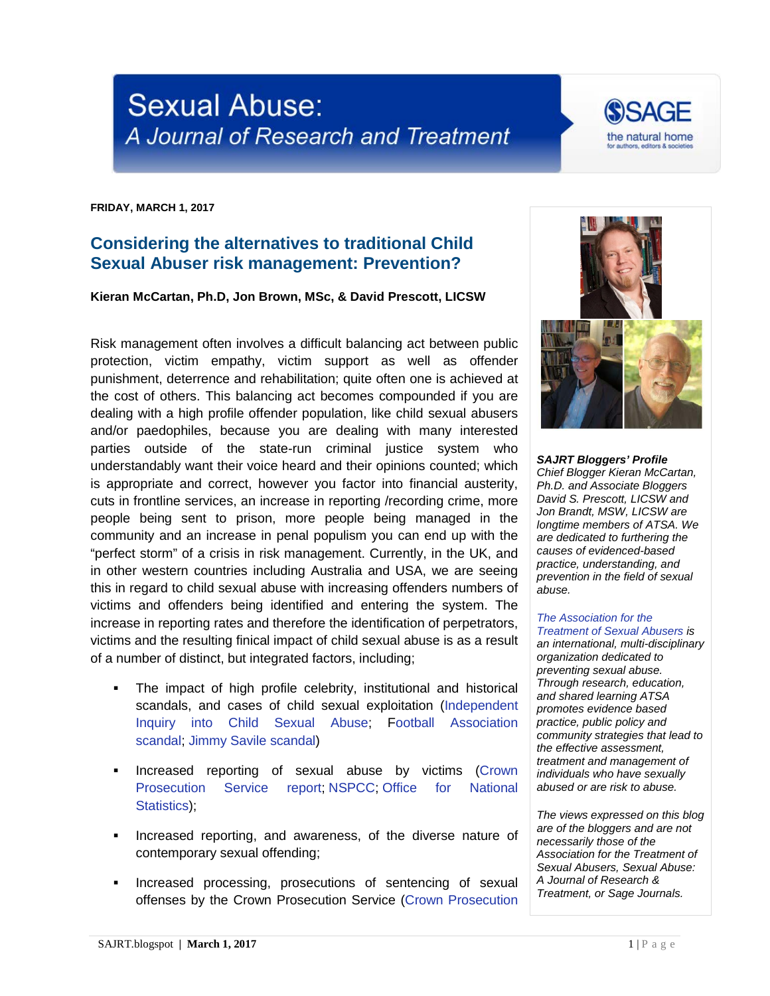## **Sexual Abuse:** A Journal of Research and Treatment

**FRIDAY, MARCH 1, 2017**

## **Considering the alternatives to traditional Child Sexual Abuser risk management: Prevention?**

**Kieran McCartan, Ph.D, Jon Brown, MSc, & David Prescott, LICSW**

Risk management often involves a difficult balancing act between public protection, victim empathy, victim support as well as offender punishment, deterrence and rehabilitation; quite often one is achieved at the cost of others. This balancing act becomes compounded if you are dealing with a high profile offender population, like child sexual abusers and/or paedophiles, because you are dealing with many interested parties outside of the state-run criminal justice system who understandably want their voice heard and their opinions counted; which is appropriate and correct, however you factor into financial austerity, cuts in frontline services, an increase in reporting /recording crime, more people being sent to prison, more people being managed in the community and an increase in penal populism you can end up with the "perfect storm" of a crisis in risk management. Currently, in the UK, and in other western countries including Australia and USA, we are seeing this in regard to child sexual abuse with increasing offenders numbers of victims and offenders being identified and entering the system. The increase in reporting rates and therefore the identification of perpetrators, victims and the resulting finical impact of child sexual abuse is as a result of a number of distinct, but integrated factors, including;

- The impact of high profile celebrity, institutional and historical scandals, and cases of child sexual exploitation (Independent [Inquiry into Child Sexual Abuse;](https://www.iicsa.org.uk/) [Football Association](http://www.bbc.co.uk/sport/football/38211167)  [scandal;](http://www.bbc.co.uk/sport/football/38211167) [Jimmy Savile scandal\)](http://www.bbc.co.uk/news/uk-20026910)
- **Increased reporting of sexual abuse by victims (Crown** [Prosecution Service report;](http://www.cps.gov.uk/publications/equality/vaw/) [NSPCC;](https://www.nspcc.org.uk/services-and-resources/research-and-resources/statistics/) [Office for National](https://www.ons.gov.uk/peoplepopulationandcommunity/crimeandjustice/articles/abuseduringchildhood/findingsfromtheyearendingmarch2016crimesurveyforenglandandwales)  [Statistics\)](https://www.ons.gov.uk/peoplepopulationandcommunity/crimeandjustice/articles/abuseduringchildhood/findingsfromtheyearendingmarch2016crimesurveyforenglandandwales);
- **Increased reporting, and awareness, of the diverse nature of** contemporary sexual offending;
- **Increased processing, prosecutions of sentencing of sexual** offenses by the Crown Prosecution Service [\(Crown Prosecution](http://www.cps.gov.uk/publications/equality/vaw/)



*Chief Blogger Kieran McCartan, Ph.D. and Associate Bloggers David S. Prescott, LICSW and Jon Brandt, MSW, LICSW are longtime members of ATSA. We are dedicated to furthering the causes of evidenced-based practice, understanding, and prevention in the field of sexual abuse.*

## *[The Association for the](http://atsa.com/)  [Treatment of Sexual Abusers](http://atsa.com/) is*

*an international, multi-disciplinary organization dedicated to preventing sexual abuse. Through research, education, and shared learning ATSA promotes evidence based practice, public policy and community strategies that lead to the effective assessment, treatment and management of individuals who have sexually abused or are risk to abuse.* 

*The views expressed on this blog are of the bloggers and are not necessarily those of the Association for the Treatment of Sexual Abusers, Sexual Abuse: A Journal of Research & Treatment, or Sage Journals.*